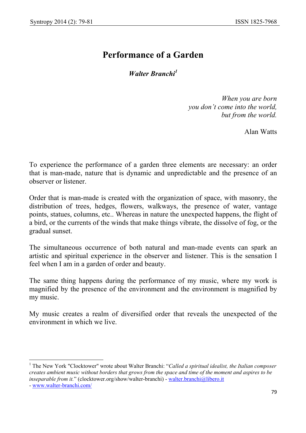$\overline{a}$ 

## **Performance of a Garden**

*Walter Branchi<sup>1</sup>*

*When you are born you don't come into the world, but from the world.* 

Alan Watts

To experience the performance of a garden three elements are necessary: an order that is man-made, nature that is dynamic and unpredictable and the presence of an observer or listener.

Order that is man-made is created with the organization of space, with masonry, the distribution of trees, hedges, flowers, walkways, the presence of water, vantage points, statues, columns, etc.. Whereas in nature the unexpected happens, the flight of a bird, or the currents of the winds that make things vibrate, the dissolve of fog, or the gradual sunset.

The simultaneous occurrence of both natural and man-made events can spark an artistic and spiritual experience in the observer and listener. This is the sensation I feel when I am in a garden of order and beauty.

The same thing happens during the performance of my music, where my work is magnified by the presence of the environment and the environment is magnified by my music.

My music creates a realm of diversified order that reveals the unexpected of the environment in which we live.

<sup>&</sup>lt;sup>1</sup> The New York "Clocktower" wrote about Walter Branchi: "*Called a spiritual idealist, the Italian composer creates ambient music without borders that grows from the space and time of the moment and aspires to be inseparable from it.*" (clocktower.org/show/walter-branchi) - walter.branchi@libero.it - www.walter-branchi.com/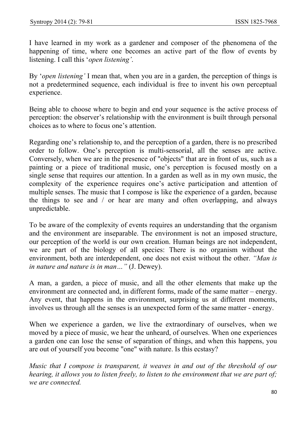I have learned in my work as a gardener and composer of the phenomena of the happening of time, where one becomes an active part of the flow of events by listening. I call this '*open listening'*.

By '*open listening'* I mean that, when you are in a garden, the perception of things is not a predetermined sequence, each individual is free to invent his own perceptual experience.

Being able to choose where to begin and end your sequence is the active process of perception: the observer's relationship with the environment is built through personal choices as to where to focus one's attention.

Regarding one's relationship to, and the perception of a garden, there is no prescribed order to follow. One's perception is multi-sensorial, all the senses are active. Conversely, when we are in the presence of "objects" that are in front of us, such as a painting or a piece of traditional music, one's perception is focused mostly on a single sense that requires our attention. In a garden as well as in my own music, the complexity of the experience requires one's active participation and attention of multiple senses. The music that I compose is like the experience of a garden, because the things to see and / or hear are many and often overlapping, and always unpredictable.

To be aware of the complexity of events requires an understanding that the organism and the environment are inseparable. The environment is not an imposed structure, our perception of the world is our own creation. Human beings are not independent, we are part of the biology of all species: There is no organism without the environment, both are interdependent, one does not exist without the other. *"Man is in nature and nature is in man…"* (J. Dewey).

A man, a garden, a piece of music, and all the other elements that make up the environment are connected and, in different forms, made of the same matter – energy. Any event, that happens in the environment, surprising us at different moments, involves us through all the senses is an unexpected form of the same matter - energy.

When we experience a garden, we live the extraordinary of ourselves, when we moved by a piece of music, we hear the unheard, of ourselves. When one experiences a garden one can lose the sense of separation of things, and when this happens, you are out of yourself you become "one" with nature. Is this ecstasy?

*Music that I compose is transparent, it weaves in and out of the threshold of our hearing, it allows you to listen freely, to listen to the environment that we are part of; we are connected.*